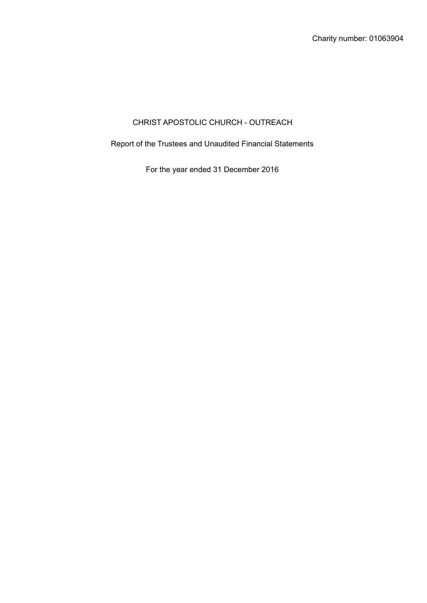# CHRIST APOSTOLIC CHURCH - OUTREACH

Report of the Trustees and Unaudited Financial Statements

For the year ended 31 December 2016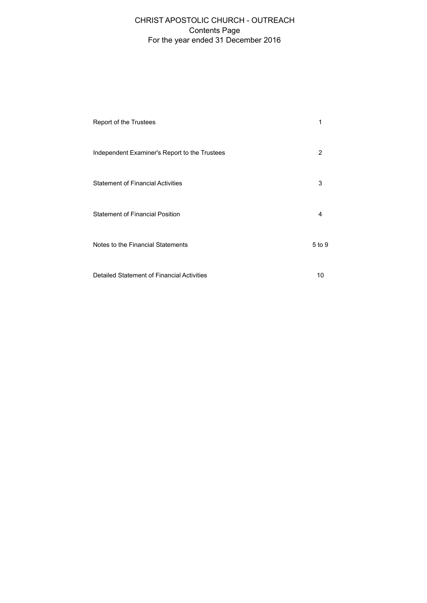## For the year ended 31 December 2016 CHRIST APOSTOLIC CHURCH - OUTREACH Contents Page

| Report of the Trustees                        |        |
|-----------------------------------------------|--------|
| Independent Examiner's Report to the Trustees | 2      |
| <b>Statement of Financial Activities</b>      | 3      |
| <b>Statement of Financial Position</b>        | 4      |
| Notes to the Financial Statements             | 5 to 9 |
| Detailed Statement of Financial Activities    | 10     |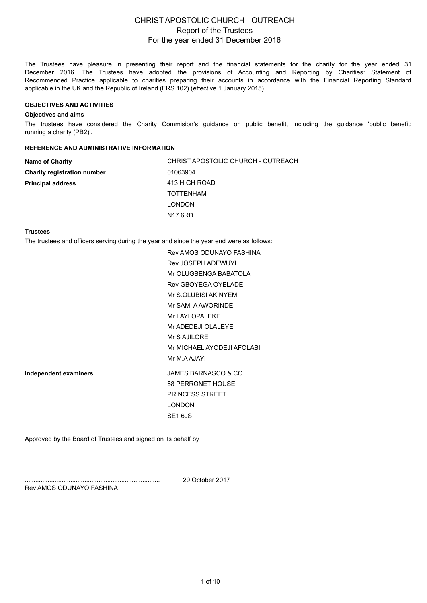The Trustees have pleasure in presenting their report and the financial statements for the charity for the year ended 31 December 2016. The Trustees have adopted the provisions of Accounting and Reporting by Charities: Statement of Recommended Practice applicable to charities preparing their accounts in accordance with the Financial Reporting Standard applicable in the UK and the Republic of Ireland (FRS 102) (effective 1 January 2015).

#### **OBJECTIVES AND ACTIVITIES**

#### **Objectives and aims**

The trustees have considered the Charity Commision's guidance on public benefit, including the guidance 'public benefit: running a charity (PB2)'.

### **REFERENCE AND ADMINISTRATIVE INFORMATION**

| <b>Name of Charity</b>             | CHRIST APOSTOLIC CHURCH - OUTREACH |
|------------------------------------|------------------------------------|
| <b>Charity registration number</b> | 01063904                           |
| <b>Principal address</b>           | 413 HIGH ROAD                      |
|                                    | <b>TOTTENHAM</b>                   |
|                                    | <b>LONDON</b>                      |
|                                    | N <sub>17</sub> 6RD                |

#### **Trustees**

The trustees and officers serving during the year a[nd since the year end were as follows:](uk-bus:AddressLine3)

[Rev AMOS ODUNAYO FASHINA](uk-bus:PostalCodeZip) Rev JOSEPH ADEWUYI Mr OLUGBENGA BABATOLA [Rev GBOYEGA OYELADE](uk-bus:NameEntityOfficer:Director:1.00) [Mr S.OLUBISI AKINYEMI](uk-bus:NameEntityOfficer:Director:2.00) [Mr SAM. A AWORINDE](uk-bus:NameEntityOfficer:Director:3.00) [Mr LAYI OPALEKE](uk-bus:NameEntityOfficer:Director:4.00) [Mr ADEDEJI OLALEYE](uk-bus:NameEntityOfficer:Director:5.00) [Mr S AJILORE](uk-bus:NameEntityOfficer:Director:6.00) [Mr MICHAEL AYODEJI AFOLABI](uk-bus:NameEntityOfficer:Director:7.00) [Mr M.A AJAYI](uk-bus:NameEntityOfficer:Director:8.00) **Independent examiners** [JAMES BARNASCO & CO](uk-bus:NameEntityOfficer:Director:9.00) [58 PERRONET HOUSE](uk-bus:NameEntityOfficer:Director:10.00) [PRINCESS STREET](uk-bus:NameEntityOfficer:Director:11.00) [LONDON](uk-bus:NameEntityAccountants) SE1 6JS

Approved by the Board of Trustees and signed on its behalf by

.............................................................................

29 October 2017

Rev AMOS ODUNAYO FASHINA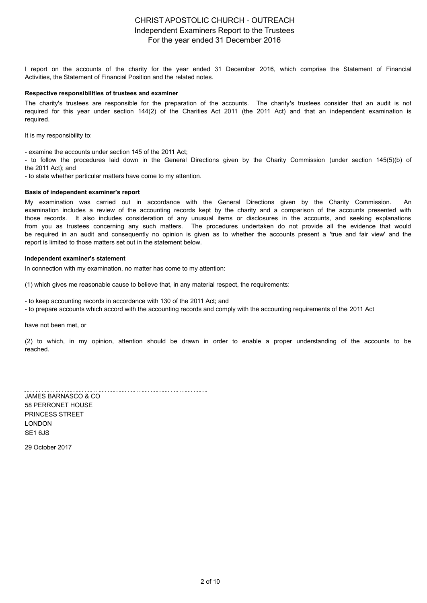I report on the accounts of the charity for the year ended 31 December 2016, which comprise the Statement of Financial Activities, the Statement of Financial Position and the related notes.

#### **Respective responsibilities of trustees and examiner**

[The charity's trustees are responsible for the preparation of the accounts. The charity's trustees consider that an audit is not](uk-char:IndependentExaminationFree-textComment) required for this year under section 144(2) of the Charities Act 2011 (the 2011 Act) and that an independent examination is required.

It is my responsibility to:

- examine the accounts under section 145 of the 2011 Act;

- to follow the procedures laid down in the General Directions given by the Charity Commission (under section 145(5)(b) of the 2011 Act); and

- to state whether particular matters have come to my attention.

#### **Basis of independent examiner's report**

[My examination was carried out in accordance with the General Directions given by the Charity Commission. An](uk-char:StatementOnRespectiveResponsibilitiesDirectorstrusteesIndependentExaminer) examination includes a review of the accounting records kept by the charity and a comparison of the accounts presented with those records. It also includes consideration of any unusual items or disclosures in the accounts, and seeking explanations from you as trustees concerning any such matters. The procedures undertaken do not provide all the evidence that would be required in an audit and consequently no opinion is given as to whether the accounts present a 'true and fair view' and the report is limited to those matters set out in the statement below.

#### **Independent examiner's statement**

In connection with my examination, no matter has come to my attention:

(1) which gives me reasonable cause to believe that, in any material respect, the requirements:

- to keep accounting records in accordance with 130 of the 2011 Act; and

- to prepare accounts which accord with the accounting records and comply with the accounting requirements of the 2011 Act

have not been met, or

[\(2\) to which, in my opinion, attention should be drawn in order to enable a proper understanding of the accounts to be](uk-char:WhereCharityCharitableCompanyAccountingRecordsHaveNotBeenKeptInAccordanceWithSection386CompaniesAct2006) reached.

JAMES BARNASCO & CO 58 PERRONET HOUSE PRINCESS STREET LONDON SE1 6JS 29 October 2017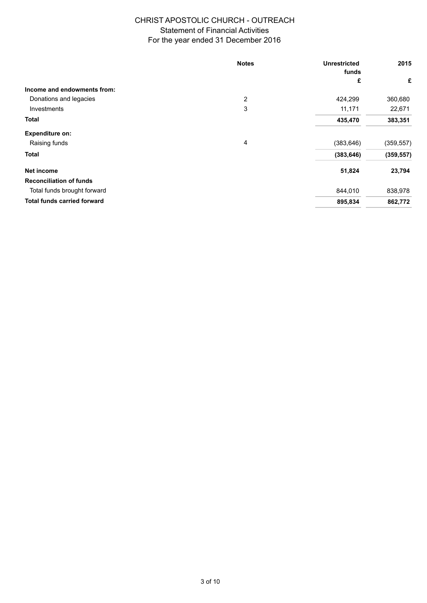|                                    | <b>Notes</b> | <b>Unrestricted</b><br>funds | 2015       |
|------------------------------------|--------------|------------------------------|------------|
|                                    |              | £                            | £          |
| Income and endowments from:        |              |                              |            |
| Donations and legacies             | 2            | 424,299                      | 360,680    |
| Investments                        | 3            | 11,171                       | 22,671     |
| <b>Total</b>                       |              | 435,470                      | 383,351    |
| <b>Expenditure on:</b>             |              |                              |            |
| Raising funds                      | 4            | (383, 646)                   | (359, 557) |
| <b>Total</b>                       |              | (383, 646)                   | (359, 557) |
| Net income                         |              | 51,824                       | 23,794     |
| <b>Reconciliation of funds</b>     |              |                              |            |
| Total funds brought forward        |              | 844,010                      | 838,978    |
| <b>Total funds carried forward</b> |              | 895,834                      | 862,772    |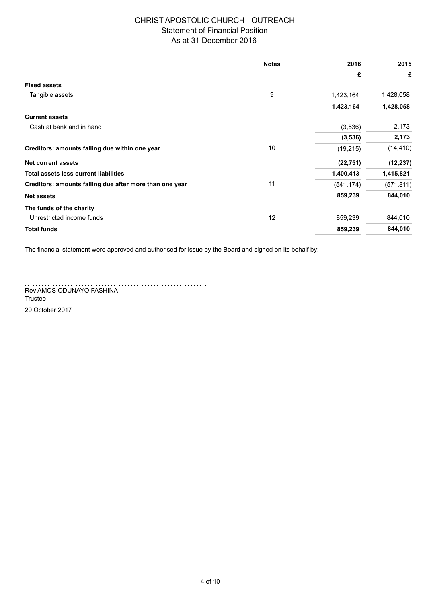### As at 31 December 2016

|                                                         | <b>Notes</b> | 2016       | 2015       |
|---------------------------------------------------------|--------------|------------|------------|
|                                                         |              | £          | £          |
| <b>Fixed assets</b>                                     |              |            |            |
| Tangible assets                                         | 9            | 1,423,164  | 1,428,058  |
|                                                         |              | 1,423,164  | 1,428,058  |
| <b>Current assets</b>                                   |              |            |            |
| Cash at bank and in hand                                |              | (3,536)    | 2,173      |
|                                                         |              | (3,536)    | 2,173      |
| Creditors: amounts falling due within one year          | 10           | (19, 215)  | (14, 410)  |
| <b>Net current assets</b>                               |              | (22, 751)  | (12, 237)  |
| Total assets less current liabilities                   |              | 1,400,413  | 1,415,821  |
| Creditors: amounts falling due after more than one year | 11           | (541, 174) | (571, 811) |
| <b>Net assets</b>                                       |              | 859,239    | 844,010    |
| The funds of the charity                                |              |            |            |
| Unrestricted income funds                               | 12           | 859,239    | 844,010    |
| <b>Total funds</b>                                      |              | 859,239    | 844,010    |

The financial statement were approved and authorised for issue by the Board and signed on its behalf b[y:](uk-char:CharityFunds:TotalUnrestrictedFunds)

Rev AMOS ODUNAYO FASHINA

Trustee

29 October 2017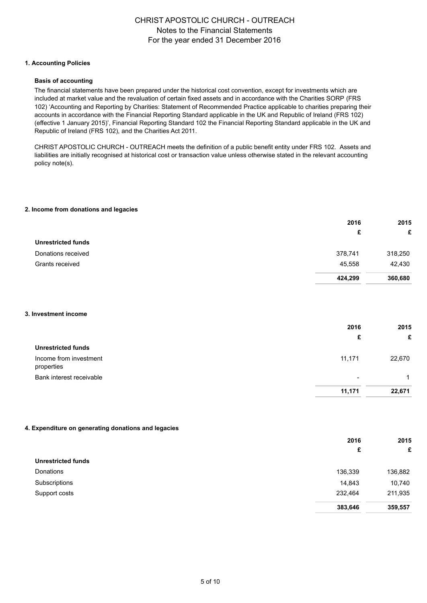#### **1. Accounting Policies**

#### **Basis of accounting**

The financial statements have been prepared under the historical cost convention, except for investments which are included at market value and the revaluation of certain fixed assets and in accordance with the Charities SORP (FRS 102) 'Accounting and Reporting by Charities: Statement of Recommended Practice applicable to charities preparing their accounts in accordance with the Financial Reporting Standard applicable in the UK and Republic of Ireland (FRS 102) (effective 1 January 2015)', Financial Reporting Standard 102 the Financial Reporting Standard applicable in the UK and Republic of Ireland (FRS 102), and the Charities Act 2011.

[CHRIST APOSTOLIC CHURCH - OUTREACH meets the definition of a public benefit entity under FRS 102. Assets and](uk-core:StatementComplianceWithApplicableReportingFramework)  liabilities are initially recognised at historical cost or transaction value unless otherwise stated in the relevant accounting policy note(s).

#### **2. I[ncome from donations and legacies](uk-core:PropertyPlantEquipmentPolicy)**

|                           | 2016    | 2015    |
|---------------------------|---------|---------|
|                           | £       | £       |
| <b>Unrestricted funds</b> |         |         |
| Donations received        | 378,741 | 318,250 |
| Grants received           | 45,558  | 42,430  |
|                           | 424,299 | 360,680 |

#### **3. Investment income**

|                                      | 2016                     | 2015   |
|--------------------------------------|--------------------------|--------|
|                                      | £                        | £      |
| <b>Unrestricted funds</b>            |                          |        |
| Income from investment<br>properties | 11,171                   | 22,670 |
| Bank interest receivable             | $\overline{\phantom{0}}$ |        |
|                                      | 11,171                   | 22.671 |

#### **4. Expenditure on generating donations and legacies**

|                           | 2016    | 2015    |  |
|---------------------------|---------|---------|--|
|                           | £       | £       |  |
| <b>Unrestricted funds</b> |         |         |  |
| Donations                 | 136,339 | 136,882 |  |
| Subscriptions             | 14,843  | 10,740  |  |
| Support costs             | 232,464 | 211,935 |  |
|                           | 383,646 | 359,557 |  |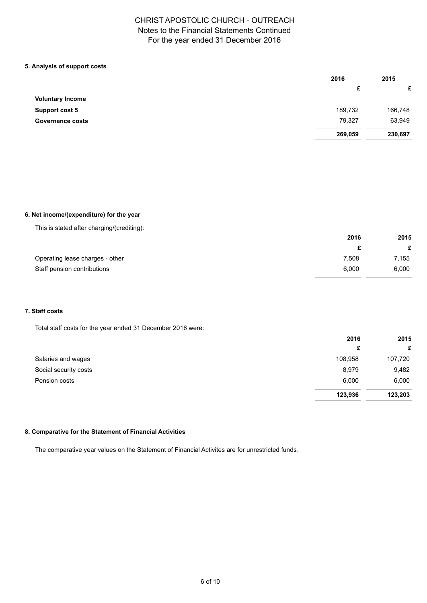### **5. Analysis of support costs**

|                         | 2016    | 2015    |
|-------------------------|---------|---------|
|                         | £       | £       |
| <b>Voluntary Income</b> |         |         |
| <b>Support cost 5</b>   | 189,732 | 166,748 |
| <b>Governance costs</b> | 79,327  | 63,949  |
|                         | 269,059 | 230,697 |

### **6. Net income/(expenditure) for the year**

|  |  | This is stated after charging/(crediting): |
|--|--|--------------------------------------------|
|  |  |                                            |

| 2016  | 2015  |  |
|-------|-------|--|
|       |       |  |
| 7.508 | 7.155 |  |
| 6.000 | 6,000 |  |
|       |       |  |

### **7. Staff costs**

Total staff costs for the year ended 31 December 2016 were:

|                       | 2016    | 2015    |  |
|-----------------------|---------|---------|--|
|                       | £       | £       |  |
| Salaries and wages    | 108,958 | 107,720 |  |
| Social security costs | 8,979   | 9,482   |  |
| Pension costs         | 6,000   | 6,000   |  |
|                       | 123,936 | 123,203 |  |

### **8. Comparative for the Statement of Financial Activities**

The comparative year values on the Statement of Financial Activites are for unrestricted funds.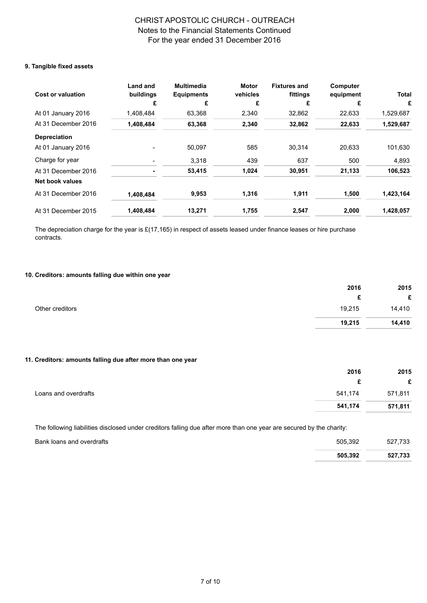### **9. Tangible fixed assets**

| <b>Cost or valuation</b> | <b>Land and</b><br>buildings | <b>Multimedia</b><br><b>Equipments</b> | <b>Motor</b><br>vehicles | <b>Fixtures and</b><br>fittings | Computer<br>equipment | <b>Total</b> |
|--------------------------|------------------------------|----------------------------------------|--------------------------|---------------------------------|-----------------------|--------------|
|                          |                              | £                                      | £                        | £                               | £                     | £            |
| At 01 January 2016       | 1,408,484                    | 63,368                                 | 2,340                    | 32,862                          | 22,633                | 1,529,687    |
| At 31 December 2016      | 1,408,484                    | 63,368                                 | 2,340                    | 32,862                          | 22,633                | 1,529,687    |
| <b>Depreciation</b>      |                              |                                        |                          |                                 |                       |              |
| At 01 January 2016       |                              | 50,097                                 | 585                      | 30,314                          | 20,633                | 101,630      |
| Charge for year          |                              | 3,318                                  | 439                      | 637                             | 500                   | 4,893        |
| At 31 December 2016      |                              | 53,415                                 | 1,024                    | 30,951                          | 21,133                | 106,523      |
| <b>Net book values</b>   |                              |                                        |                          |                                 |                       |              |
| At 31 December 2016      | 1,408,484                    | 9,953                                  | 1,316                    | 1,911                           | 1,500                 | 1,423,164    |
| At 31 December 2015      | 1,408,484                    | 13,271                                 | 1,755                    | 2,547                           | 2,000                 | 1,428,057    |

The depreciation charge for the year is  $£(17,165)$  in respect of [assets leased under finance leases](uk-core:PropertyPlantEquipment::0:E) or hire purchase contracts.

### **10. [Creditors: amounts falling due within one year](zLeasedDEPz)**

|                 | 2016   | 2015   |
|-----------------|--------|--------|
|                 | £      | £      |
| Other creditors | 19,215 | 14,410 |
|                 | 19,215 | 14,410 |

### **11. Creditors: amounts falling due after more than one year**

|                      | 2016    | 2015    |
|----------------------|---------|---------|
|                      |         | £       |
| Loans and overdrafts | 541,174 | 571,811 |
|                      | 541,174 | 571,811 |

The following liabilities disclosed under creditors falling due after more than one year are secured by [the charity:](uk-core:BankBorrowingsOverdrafts:AfterOneYear!Unsecured)

| Bank loans and overdrafts | 505.392 | 527.733 |
|---------------------------|---------|---------|
|                           | 505.392 | 527,733 |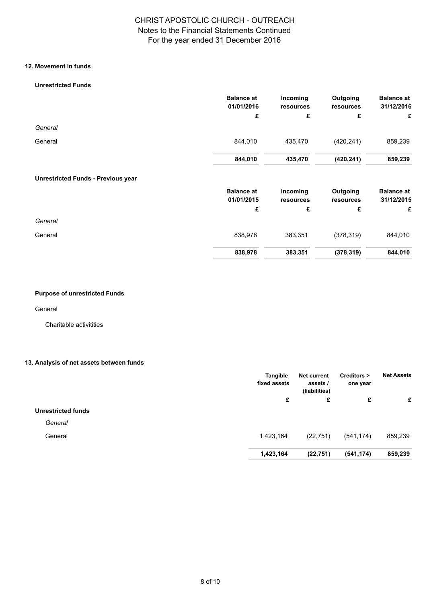### **12. Movement in funds**

### **Unrestricted Funds**

|                                           | <b>Balance at</b><br>01/01/2016 | Incoming<br>resources | Outgoing<br>resources | <b>Balance at</b><br>31/12/2016 |
|-------------------------------------------|---------------------------------|-----------------------|-----------------------|---------------------------------|
|                                           | £                               | £                     | £                     | £                               |
| General                                   |                                 |                       |                       |                                 |
| General                                   | 844,010                         | 435,470               | (420, 241)            | 859,239                         |
|                                           | 844,010                         | 435,470               | (420, 241)            | 859,239                         |
| <b>Unrestricted Funds - Previous year</b> |                                 |                       |                       |                                 |
|                                           | <b>Balance at</b>               | Incoming              | Outgoing              | <b>Balance at</b>               |
|                                           | 01/01/2015                      | resources             | resources             | 31/12/2015                      |
|                                           | £                               | £                     | £                     | £                               |
| General                                   |                                 |                       |                       |                                 |
| General                                   | 838,978                         | 383,351               | (378, 319)            | 844,010                         |
|                                           | 838,978                         | 383,351               | (378, 319)            | 844,010                         |

### **Purpose of unrestricted Funds**

General

Charitable activitities

### **13. An[alysis of net assets between funds](uk-char:ExplanationPurposesTrustLawRestrictionsImposedOnEachMaterialFund:MaterialFund:1)**

|                           | Tangible<br>fixed assets | <b>Net current</b><br>assets /<br>(liabilities) | Creditors ><br>one year | <b>Net Assets</b> |
|---------------------------|--------------------------|-------------------------------------------------|-------------------------|-------------------|
|                           | £                        | £                                               | £                       | £                 |
| <b>Unrestricted funds</b> |                          |                                                 |                         |                   |
| General                   |                          |                                                 |                         |                   |
| General                   | 1,423,164                | (22, 751)                                       | (541, 174)              | 859,239           |
|                           | 1,423,164                | (22, 751)                                       | (541, 174)              | 859,239           |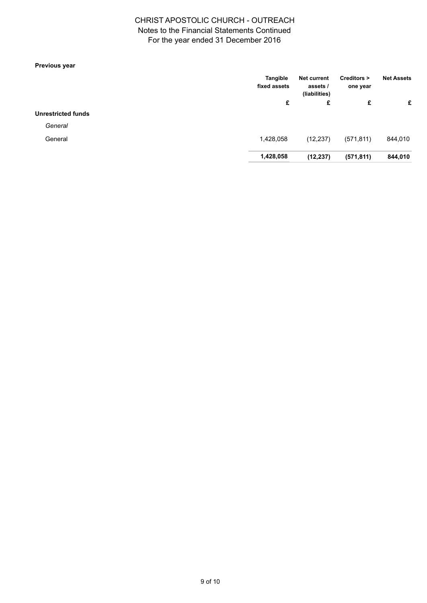## For the year ended 31 December 2016 CHRIST APOSTOLIC CHURCH - OUTREACH Notes to the Financial Statements Continued

### **Previous year**

|                           | Tangible<br>fixed assets | <b>Net current</b><br>assets /<br>(liabilities) | Creditors ><br>one year | <b>Net Assets</b> |
|---------------------------|--------------------------|-------------------------------------------------|-------------------------|-------------------|
|                           | £                        | £                                               | £                       | £                 |
| <b>Unrestricted funds</b> |                          |                                                 |                         |                   |
| General                   |                          |                                                 |                         |                   |
| General                   | 1,428,058                | (12, 237)                                       | (571, 811)              | 844,010           |
|                           | 1,428,058                | (12, 237)                                       | (571, 811)              | 844,010           |